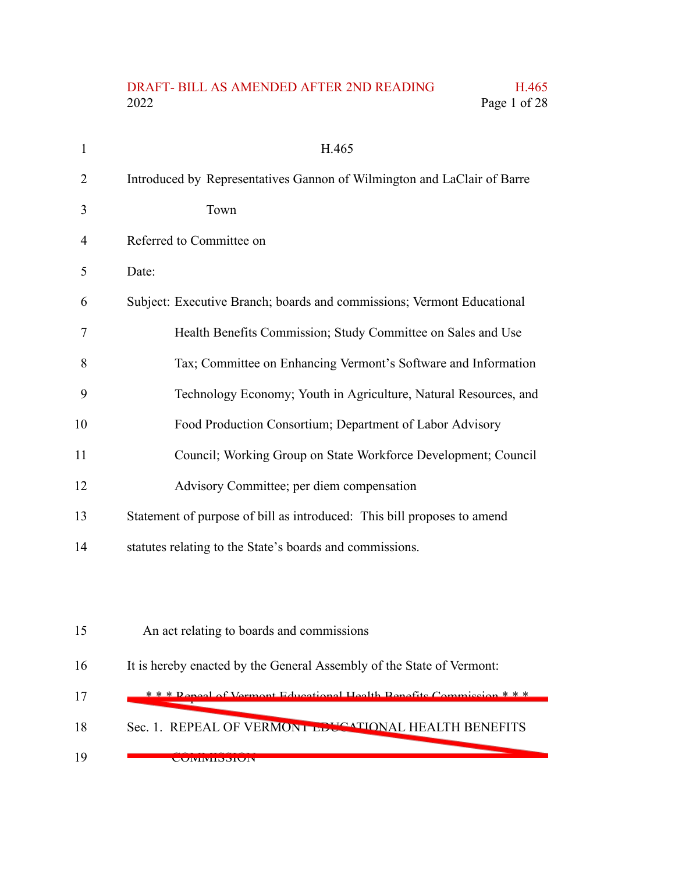## DRAFT- BILL AS AMENDED AFTER 2ND READING H.465<br>2022 Page 1 of 28 Page 1 of 28

| $\mathbf{1}$ | H.465                                                                   |
|--------------|-------------------------------------------------------------------------|
| 2            | Introduced by Representatives Gannon of Wilmington and LaClair of Barre |
| 3            | Town                                                                    |
| 4            | Referred to Committee on                                                |
| 5            | Date:                                                                   |
| 6            | Subject: Executive Branch; boards and commissions; Vermont Educational  |
| 7            | Health Benefits Commission; Study Committee on Sales and Use            |
| 8            | Tax; Committee on Enhancing Vermont's Software and Information          |
| 9            | Technology Economy; Youth in Agriculture, Natural Resources, and        |
| 10           | Food Production Consortium; Department of Labor Advisory                |
| 11           | Council; Working Group on State Workforce Development; Council          |
| 12           | Advisory Committee; per diem compensation                               |
| 13           | Statement of purpose of bill as introduced: This bill proposes to amend |
| 14           | statutes relating to the State's boards and commissions.                |
|              |                                                                         |
| 15           | An act relating to boards and commissions                               |
| 16           | It is hereby enacted by the General Assembly of the State of Vermont:   |
| 17           | *** Repeal of Vermont Educational Health Repetits Commission ***        |
| 18           | Sec. 1. REPEAL OF VERMONT EDUCATIONAL HEALTH BENEFITS                   |
| 19           | <b>UUIVIIVIIDDIUIV</b>                                                  |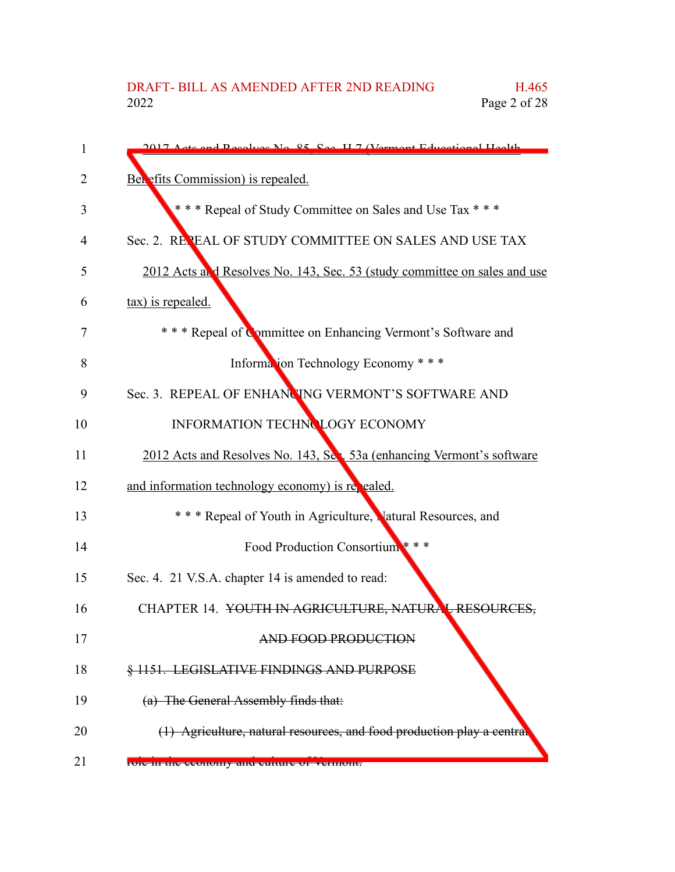| 1  | 2017 Acts and Resolves No. 85, See, H. 7 (Vermont Educational Health)     |
|----|---------------------------------------------------------------------------|
| 2  | Benefits Commission) is repealed.                                         |
| 3  | *** Repeal of Study Committee on Sales and Use Tax ***                    |
| 4  | Sec. 2. REPEAL OF STUDY COMMITTEE ON SALES AND USE TAX                    |
| 5  | 2012 Acts and Resolves No. 143, Sec. 53 (study committee on sales and use |
| 6  | tax) is repealed.                                                         |
| 7  | * * * Repeal of Committee on Enhancing Vermont's Software and             |
| 8  | Information Technology Economy * * *                                      |
| 9  | Sec. 3. REPEAL OF ENHANCING VERMONT'S SOFTWARE AND                        |
| 10 | INFORMATION TECHNOLOGY ECONOMY                                            |
| 11 | 2012 Acts and Resolves No. 143, Sec. 53a (enhancing Vermont's software    |
| 12 | and information technology economy) is repealed.                          |
| 13 | * * * Repeal of Youth in Agriculture, Matural Resources, and              |
| 14 | Food Production Consortium ***                                            |
| 15 | Sec. 4. 21 V.S.A. chapter 14 is amended to read:                          |
| 16 | CHAPTER 14. YOUTH IN AGRICULTURE, NATURAL RESOURCES,                      |
| 17 | AND FOOD PRODUCTION                                                       |
| 18 | § 1151. LEGISLATIVE FINDINGS AND PURPOSE                                  |
| 19 | (a) The General Assembly finds that:                                      |
| 20 | (1) Agriculture, natural resources, and food production play a central    |
| 21 | FOIC In the economy and culture of vermont.                               |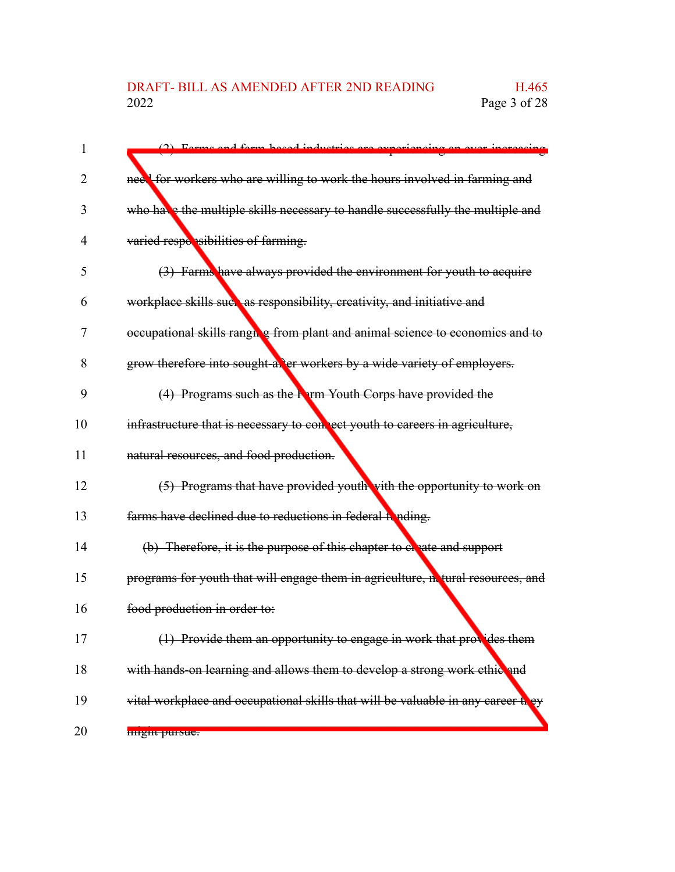| 1  | (2) Forma and form hogod inductries are experience                               |
|----|----------------------------------------------------------------------------------|
| 2  | need for workers who are willing to work the hours involved in farming and       |
| 3  | who have the multiple skills necessary to handle successfully the multiple and   |
| 4  | varied responsibilities of farming.                                              |
| 5  | (3) Farms have always provided the environment for youth to acquire              |
| 6  | workplace skills such as responsibility, creativity, and initiative and          |
| 7  | occupational skills ranging from plant and animal science to economics and to    |
| 8  | grow therefore into sought-after workers by a wide variety of employers.         |
| 9  | $(4)$ Programs such as the <b>F</b> $_{\rm T}$ m Youth Corps have provided the   |
| 10 | infrastructure that is necessary to connect youth to careers in agriculture,     |
| 11 | natural resources, and food production.                                          |
| 12 | (5) Programs that have provided youth with the opportunity to work on            |
| 13 | farms have declined due to reductions in federal fonding.                        |
| 14 | (b) Therefore, it is the purpose of this chapter to electer and support          |
| 15 | programs for youth that will engage them in agriculture, netural resources, and  |
| 16 | food production in order to:                                                     |
| 17 | (1) Provide them an opportunity to engage in work that provides them             |
| 18 | with hands-on learning and allows them to develop a strong work ethic and        |
| 19 | vital workplace and occupational skills that will be valuable in any career they |
| 20 | might pursue.                                                                    |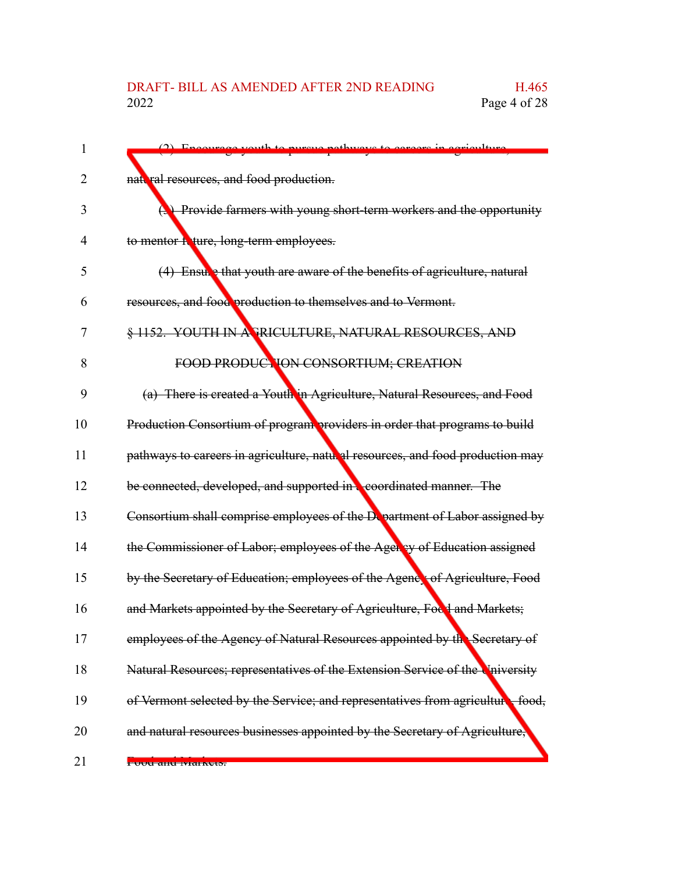|    | (2) Encourage vouth to purgue pethysors to coroors in corieulture                     |
|----|---------------------------------------------------------------------------------------|
| 2  | nattral resources, and food production.                                               |
| 3  | Provide farmers with young short-term workers and the opportunity                     |
| 4  | to mentor heture, long-term employees.                                                |
| 5  | (4) Ensule that youth are aware of the benefits of agriculture, natural               |
| 6  | resources, and food production to themselves and to Vermont.                          |
| 7  | § 1152. YOUTH IN A PRICULTURE, NATURAL RESOURCES, AND                                 |
| 8  | FOOD PRODUCTION CONSORTIUM; CREATION                                                  |
| 9  | (a) There is created a Youth in Agriculture, Natural Resources, and Food              |
| 10 | Production Consortium of program providers in order that programs to build            |
| 11 | pathways to careers in agriculture, natural resources, and food production may        |
| 12 | be connected, developed, and supported in <b>coordinated manner</b> . The             |
| 13 | Consortium shall comprise employees of the Department of Labor assigned by            |
| 14 | the Commissioner of Labor; employees of the Ager by of Education assigned             |
| 15 | by the Secretary of Education; employees of the Agency of Agriculture, Food           |
| 16 | and Markets appointed by the Secretary of Agriculture, Focd and Markets;              |
| 17 | employees of the Agency of Natural Resources appointed by the Secretary of            |
| 18 | Natural Resources; representatives of the Extension Service of the University         |
| 19 | of Vermont selected by the Service; and representatives from agriculture<br>$-$ food, |
| 20 | and natural resources businesses appointed by the Secretary of Agriculture,           |
| 21 | <del>i uuu anu iviaikeis.</del>                                                       |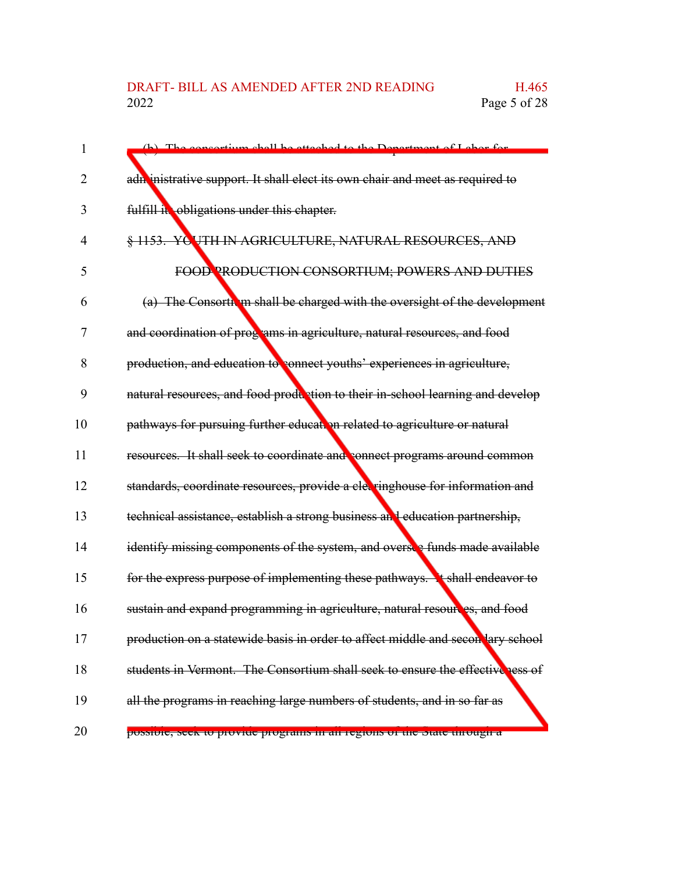| 1  | (b) The consertium shall be etteched to the Department of Labor for             |
|----|---------------------------------------------------------------------------------|
| 2  | adn inistrative support. It shall elect its own chair and meet as required to   |
| 3  | fulfill it obligations under this chapter.                                      |
| 4  | § 1153. YC UTH IN AGRICULTURE, NATURAL RESOURCES, AND                           |
| 5  | FOOD PRODUCTION CONSORTIUM; POWERS AND DUTIES                                   |
| 6  | (a) The Consorth in shall be charged with the oversight of the development      |
| 7  | and coordination of programs in agriculture, natural resources, and food        |
| 8  | production, and education to connect youths' experiences in agriculture,        |
| 9  | natural resources, and food production to their in-school learning and develop  |
| 10 | pathways for pursuing further education related to agriculture or natural       |
| 11 | resources. It shall seek to coordinate and connect programs around common       |
| 12 | standards, coordinate resources, provide a clevringhouse for information and    |
| 13 | technical assistance, establish a strong business and education partnership,    |
| 14 | identify missing components of the system, and oversee funds made available     |
| 15 | for the express purpose of implementing these pathways. It shall endeavor to    |
| 16 | sustain and expand programming in agriculture, natural resoures, and food       |
| 17 | production on a statewide basis in order to affect middle and secon lary school |
| 18 | students in Vermont. The Consortium shall seek to ensure the effectiveness of   |
| 19 | all the programs in reaching large numbers of students, and in so far as        |
| 20 | possibie, seek to provide programs in an regions or the blate unough a          |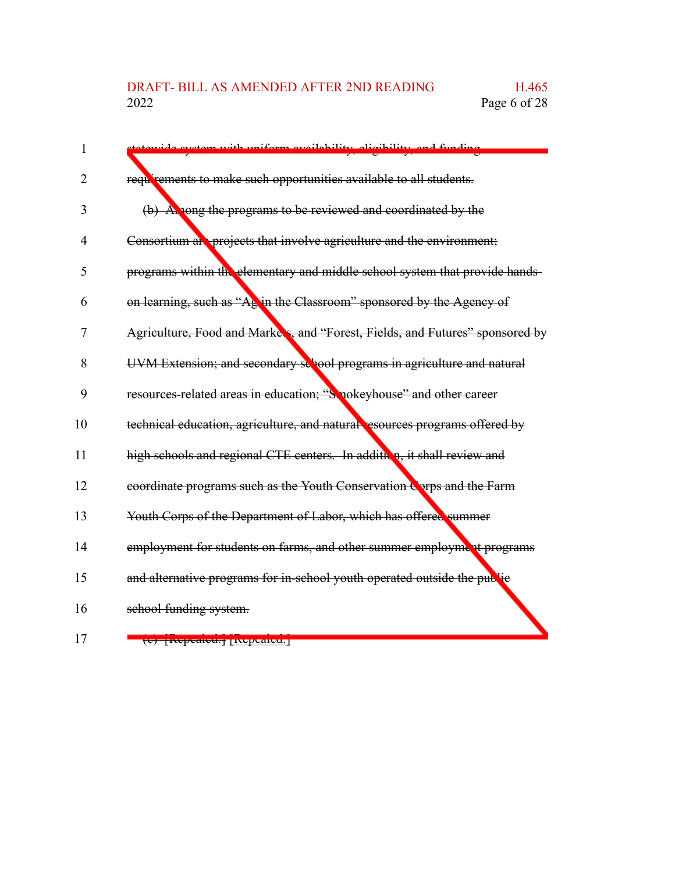## DRAFT- BILL AS AMENDED AFTER 2ND READING H.465<br>2022 Page 6 of 28 Page 6 of 28

| 1  | cyctom with uniform gyailability oligibility and funding                      |
|----|-------------------------------------------------------------------------------|
|    |                                                                               |
| 2  | requirements to make such opportunities available to all students.            |
| 3  | (b) A nong the programs to be reviewed and coordinated by the                 |
| 4  | Consortium at projects that involve agriculture and the environment;          |
| 5  | programs within the elementary and middle school system that provide hands-   |
| 6  | on learning, such as "Ag in the Classroom" sponsored by the Agency of         |
| 7  | Agriculture, Food and Markers, and "Forest, Fields, and Futures" sponsored by |
| 8  | UVM Extension; and secondary sellool programs in agriculture and natural      |
| 9  | resources-related areas in education; "Smokeyhouse" and other career          |
| 10 | technical education, agriculture, and natural resources programs offered by   |
| 11 | high schools and regional CTE centers. In addition, it shall review and       |
| 12 | coordinate programs such as the Youth Conservation Corps and the Farm         |
| 13 | Youth Corps of the Department of Labor, which has offered summer              |
| 14 | employment for students on farms, and other summer employment programs        |
| 15 | and alternative programs for in-school youth operated outside the public      |
| 16 | school funding system.                                                        |
|    |                                                                               |

17

(c) [Repealed.] [Repealed.]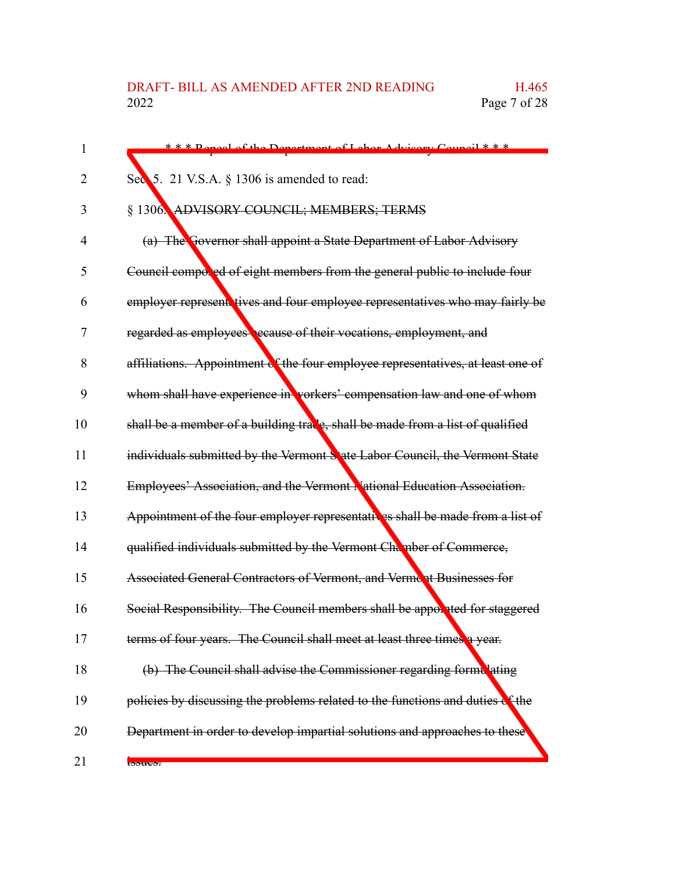| 1  | *** Repeal of the Department of Labor Advisory Council ***                      |
|----|---------------------------------------------------------------------------------|
| 2  | Sec 5. 21 V.S.A. § 1306 is amended to read:                                     |
| 3  | § 1306. ADVISORY COUNCIL; MEMBERS; TERMS                                        |
| 4  | (a) The Governor shall appoint a State Department of Labor Advisory             |
| 5  | Council compored of eight members from the general public to include four       |
| 6  | employer represent tives and four employee representatives who may fairly be    |
| 7  | regarded as employees ecause of their vocations, employment, and                |
| 8  | affiliations. Appointment of the four employee representatives, at least one of |
| 9  | whom shall have experience in vorkers' compensation law and one of whom         |
| 10 | shall be a member of a building trace, shall be made from a list of qualified   |
| 11 | individuals submitted by the Vermont S'ate Labor Council, the Vermont State     |
| 12 | Employees' Association, and the Vermont National Education Association.         |
| 13 | Appointment of the four employer representatives shall be made from a list of   |
| 14 | qualified individuals submitted by the Vermont Chamber of Commerce,             |
| 15 | Associated General Contractors of Vermont, and Vermont Businesses for           |
| 16 | Social Responsibility. The Council members shall be appoxited for staggered     |
| 17 | terms of four years. The Council shall meet at least three times a year.        |
| 18 | (b) The Council shall advise the Commissioner regarding formulating             |
| 19 | policies by discussing the problems related to the functions and duties of the  |
| 20 | Department in order to develop impartial solutions and approaches to these      |
| 21 | <b>Rotton</b>                                                                   |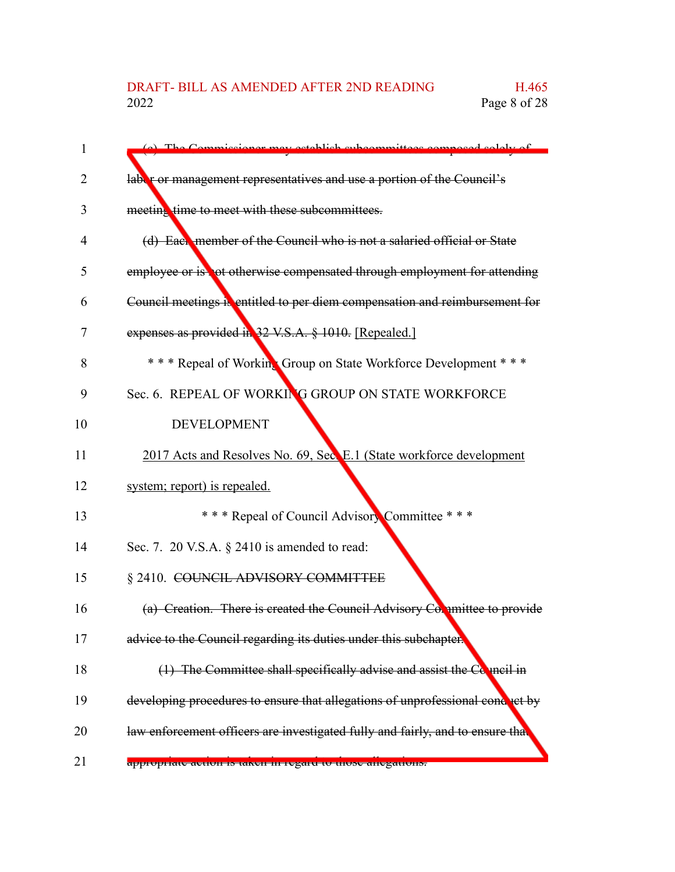| 1  | (a) The Commissioner may establish subcommittees composed solely of            |
|----|--------------------------------------------------------------------------------|
| 2  | lable or management representatives and use a portion of the Council's         |
| 3  | meeting time to meet with these subcommittees.                                 |
| 4  | (d) Each member of the Council who is not a salaried official or State         |
| 5  | employee or is not otherwise compensated through employment for attending      |
| 6  | Council meetings is entitled to per diem compensation and reimbursement for    |
| 7  | expenses as provided in 32 V.S.A. § 1010. [Repealed.]                          |
| 8  | * * * Repeal of Working Group on State Workforce Development * * *             |
| 9  | Sec. 6. REPEAL OF WORKING GROUP ON STATE WORKFORCE                             |
| 10 | <b>DEVELOPMENT</b>                                                             |
| 11 | 2017 Acts and Resolves No. 69, Sec. E.1 (State workforce development           |
| 12 | system; report) is repealed.                                                   |
| 13 | *** Repeal of Council Advisory Committee ***                                   |
| 14 | Sec. 7. 20 V.S.A. § 2410 is amended to read:                                   |
| 15 | § 2410. COUNCIL ADVISORY COMMITTEE                                             |
| 16 | (a) Creation. There is created the Council Advisory Committee to provide       |
| 17 | advice to the Council regarding its duties under this subchapter.              |
| 18 | (1) The Committee shall specifically advise and assist the Council in          |
| 19 | developing procedures to ensure that allegations of unprofessional conduct by  |
| 20 | law enforcement officers are investigated fully and fairly, and to ensure that |
| 21 | appropriate action is taken in regard to those anegations.                     |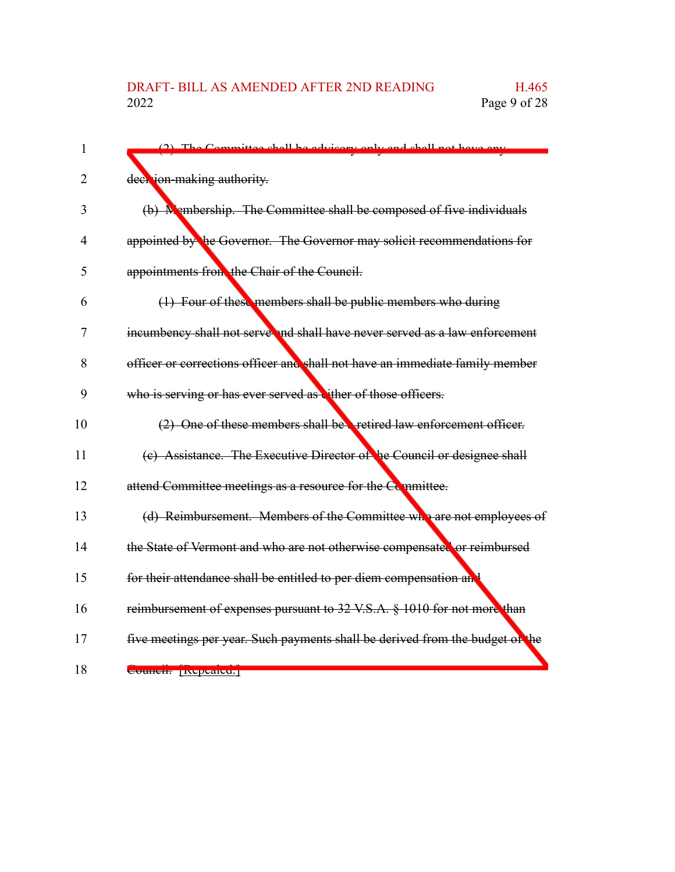| 1  | (2) The Committee shall be advisory only and shall not have any               |
|----|-------------------------------------------------------------------------------|
| 2  | deen jon-making authority.                                                    |
| 3  | (b) M embership. The Committee shall be composed of five individuals          |
| 4  | appointed by the Governor. The Governor may solicit recommendations for       |
| 5  | appointments from the Chair of the Council.                                   |
| 6  | $(1)$ Four of these members shall be public members who during                |
| 7  | incumbency shall not serve and shall have never served as a law enforcement   |
| 8  | officer or corrections officer and shall not have an immediate family member  |
| 9  | who is serving or has ever served as vither of those officers.                |
| 10 | (2) One of these members shall be a retired law enforcement officer.          |
| 11 | (c) Assistance. The Executive Director of he Council or designee shall        |
| 12 | attend Committee meetings as a resource for the Committee.                    |
| 13 | (d) Reimbursement. Members of the Committee who are not employees of          |
| 14 | the State of Vermont and who are not otherwise compensated or reimbursed      |
| 15 | for their attendance shall be entitled to per diem compensation and           |
| 16 | reimbursement of expenses pursuant to 32 V.S.A. § 1010 for not more than      |
| 17 | five meetings per year. Such payments shall be derived from the budget of the |
| 18 | Council: Incheance.                                                           |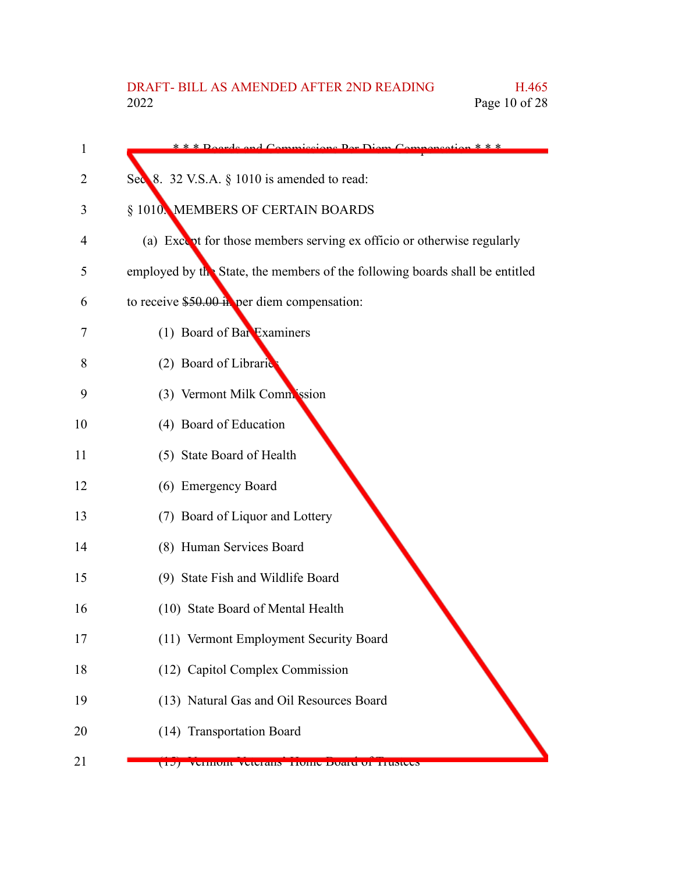| 1  | * * * Reards and Commissions Der Diem Compensat<br>n * * *                   |
|----|------------------------------------------------------------------------------|
| 2  | Sec $\&$ 32 V.S.A. $\S$ 1010 is amended to read:                             |
| 3  | § 1010. MEMBERS OF CERTAIN BOARDS                                            |
| 4  | (a) Except for those members serving ex officio or otherwise regularly       |
| 5  | employed by the State, the members of the following boards shall be entitled |
| 6  | to receive $$50.00$ in per diem compensation:                                |
| 7  | (1) Board of Bar Examiners                                                   |
| 8  | (2) Board of Libraric                                                        |
| 9  | (3) Vermont Milk Commission                                                  |
| 10 | (4) Board of Education                                                       |
| 11 | (5) State Board of Health                                                    |
| 12 | (6) Emergency Board                                                          |
| 13 | (7) Board of Liquor and Lottery                                              |
| 14 | (8) Human Services Board                                                     |
| 15 | (9) State Fish and Wildlife Board                                            |
| 16 | (10) State Board of Mental Health                                            |
| 17 | (11) Vermont Employment Security Board                                       |
| 18 | (12) Capitol Complex Commission                                              |
| 19 | (13) Natural Gas and Oil Resources Board                                     |
| 20 | (14) Transportation Board                                                    |
| 21 | (17) Vermont veterans Trome Doard of Trustees                                |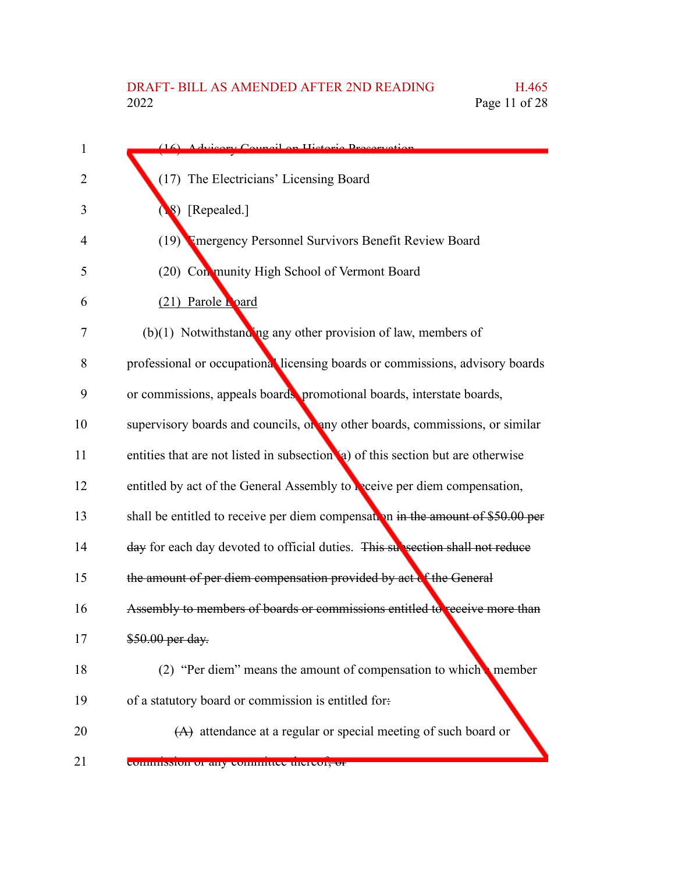| 1              | (16) Advisory Council on Historic Dressruction                                   |
|----------------|----------------------------------------------------------------------------------|
| $\overline{2}$ | (17) The Electricians' Licensing Board                                           |
| 3              | 8) [Repealed.]                                                                   |
| 4              | (19) Emergency Personnel Survivors Benefit Review Board                          |
| 5              | (20) Con munity High School of Vermont Board                                     |
| 6              | (21) Parole Loard                                                                |
| 7              | $(b)(1)$ Notwithstanding any other provision of law, members of                  |
| 8              | professional or occupational licensing boards or commissions, advisory boards    |
| 9              | or commissions, appeals boards, promotional boards, interstate boards,           |
| 10             | supervisory boards and councils, or any other boards, commissions, or similar    |
| 11             | entities that are not listed in subsection (a) of this section but are otherwise |
| 12             | entitled by act of the General Assembly to receive per diem compensation,        |
| 13             | shall be entitled to receive per diem compensation in the amount of \$50.00 per  |
| 14             | day for each day devoted to official duties. This subsection shall not reduce    |
| 15             | the amount of per diem compensation provided by act of the General               |
| 16             | Assembly to members of boards or commissions entitled to receive more than       |
| 17             | \$50.00 per day.                                                                 |
| 18             | (2) "Per diem" means the amount of compensation to which member                  |
| 19             | of a statutory board or commission is entitled for.                              |
| 20             | $(A)$ attendance at a regular or special meeting of such board or                |
|                |                                                                                  |

21

commission or any committee thereof, or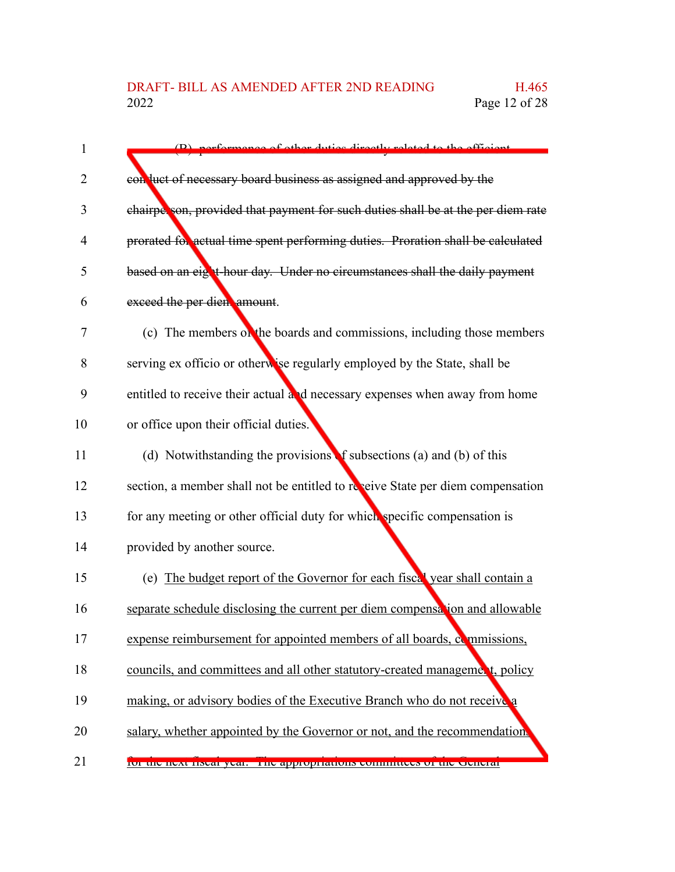| $\mathbf{1}$ | (B) performance of other duties directly related to the efficient                |
|--------------|----------------------------------------------------------------------------------|
| 2            | con luct of necessary board business as assigned and approved by the             |
| 3            | chairperson, provided that payment for such duties shall be at the per diem rate |
| 4            | prorated for actual time spent performing duties. Proration shall be calculated  |
| 5            | based on an eight-hour day. Under no circumstances shall the daily payment       |
| 6            | exceed the per dien amount.                                                      |
| 7            | (c) The members on the boards and commissions, including those members           |
| 8            | serving ex officio or otherwise regularly employed by the State, shall be        |
| 9            | entitled to receive their actual and necessary expenses when away from home      |
| 10           | or office upon their official duties.                                            |
| 11           | (d) Notwithstanding the provisions f subsections (a) and (b) of this             |
| 12           | section, a member shall not be entitled to reveive State per diem compensation   |
| 13           | for any meeting or other official duty for which specific compensation is        |
| 14           | provided by another source.                                                      |
| 15           | (e) The budget report of the Governor for each fiscal year shall contain a       |
| 16           | separate schedule disclosing the current per diem compensation and allowable     |
| 17           | expense reimbursement for appointed members of all boards, examplesions,         |
| 18           | councils, and committees and all other statutory-created management, policy      |
| 19           | making, or advisory bodies of the Executive Branch who do not receive a          |
| 20           | salary, whether appointed by the Governor or not, and the recommendation.        |
| 21           | ror the next fiscal year. The appropriations committees or the cicheral          |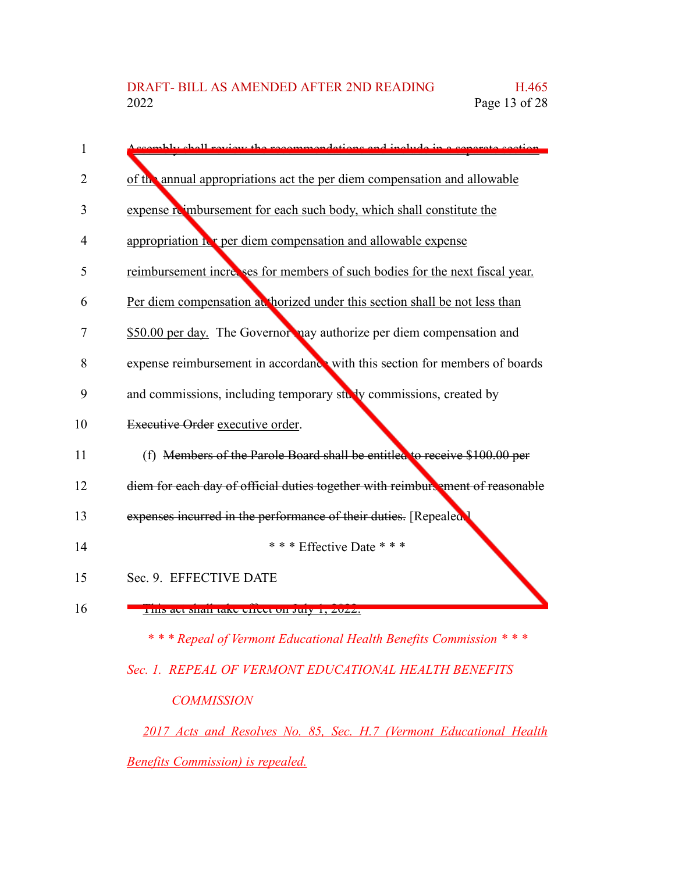| 1  | ccambly chall review the recommendations and include in a congrate section     |
|----|--------------------------------------------------------------------------------|
| 2  | of the annual appropriations act the per diem compensation and allowable       |
| 3  | expense reimbursement for each such body, which shall constitute the           |
| 4  | appropriation it r per diem compensation and allowable expense                 |
| 5  | reimbursement increases for members of such bodies for the next fiscal year.   |
| 6  | Per diem compensation at horized under this section shall be not less than     |
| 7  | \$50.00 per day. The Governor nay authorize per diem compensation and          |
| 8  | expense reimbursement in accordance with this section for members of boards    |
| 9  | and commissions, including temporary study commissions, created by             |
| 10 | Executive Order executive order.                                               |
| 11 | (f) Members of the Parole Board shall be entitled to receive \$100.00 per      |
| 12 | diem for each day of official duties together with reimbure ment of reasonable |
| 13 | expenses incurred in the performance of their duties. [Repealed:               |
| 14 | *** Effective Date ***                                                         |
| 15 | Sec. 9. EFFECTIVE DATE                                                         |
| 16 | THIS act shall take criect on July 1, $\angle 022$ .                           |

*\* \* \* Repeal of Vermont Educational Health Benefits Commission \* \* \* Sec. 1. REPEAL OF VERMONT EDUCATIONAL HEALTH BENEFITS*

## *COMMISSION*

*2017 Acts and Resolves No. 85, Sec. H.7 (Vermont Educational Health Benefits Commission) is repealed.*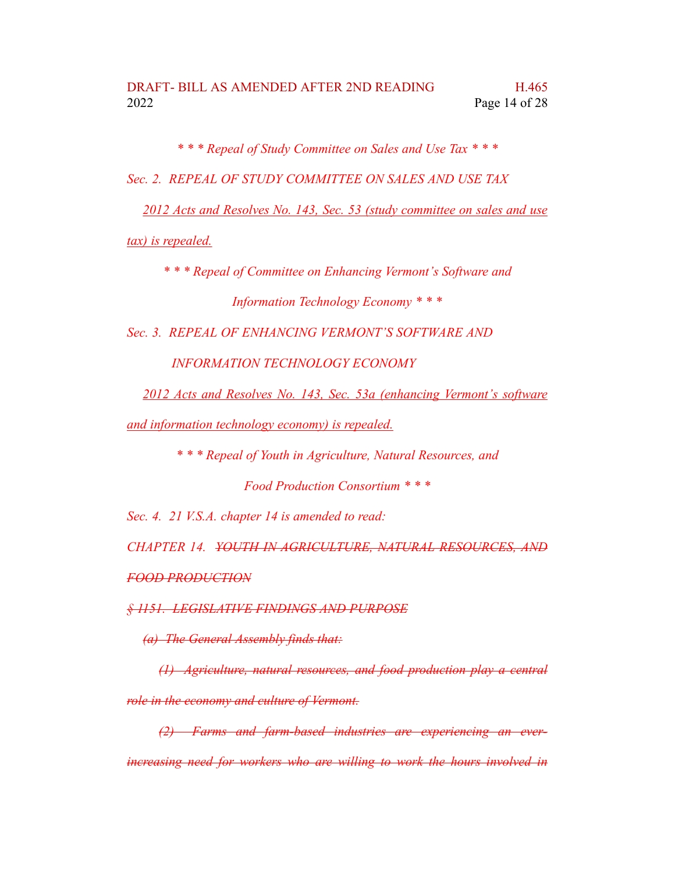*\* \* \* Repeal of Study Committee on Sales and Use Tax \* \* \**

*Sec. 2. REPEAL OF STUDY COMMITTEE ON SALES AND USE TAX*

*2012 Acts and Resolves No. 143, Sec. 53 (study committee on sales and use*

*tax) is repealed.*

*\* \* \* Repeal of Committee on Enhancing Vermont's Software and Information Technology Economy \* \* \**

*Sec. 3. REPEAL OF ENHANCING VERMONT'S SOFTWARE AND*

*INFORMATION TECHNOLOGY ECONOMY*

*2012 Acts and Resolves No. 143, Sec. 53a (enhancing Vermont's software*

*and information technology economy) is repealed.*

*\* \* \* Repeal of Youth in Agriculture, Natural Resources, and*

*Food Production Consortium \* \* \**

*Sec. 4. 21 V.S.A. chapter 14 is amended to read:*

*CHAPTER 14. YOUTH IN AGRICULTURE, NATURAL RESOURCES, AND FOOD PRODUCTION*

*§ 1151. LEGISLATIVE FINDINGS AND PURPOSE*

*(a) The General Assembly finds that:*

*(1) Agriculture, natural resources, and food production play a central role in the economy and culture of Vermont.*

*(2) Farms and farm-based industries are experiencing an everincreasing need for workers who are willing to work the hours involved in*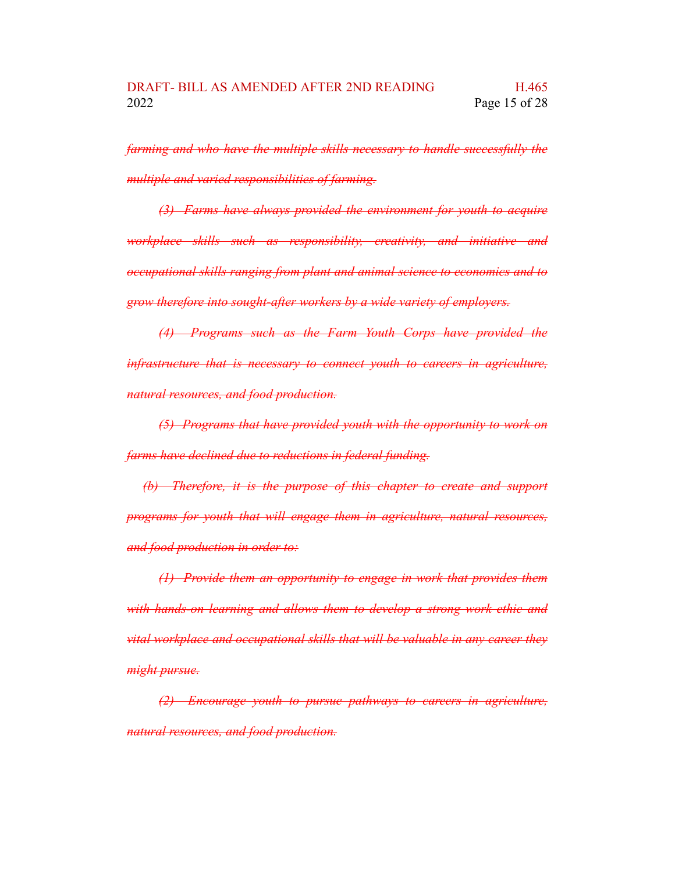*farming and who have the multiple skills necessary to handle successfully the multiple and varied responsibilities of farming.*

*(3) Farms have always provided the environment for youth to acquire workplace skills such as responsibility, creativity, and initiative and occupational skills ranging from plant and animal science to economics and to grow therefore into sought-after workers by a wide variety of employers.*

*(4) Programs such as the Farm Youth Corps have provided the infrastructure that is necessary to connect youth to careers in agriculture, natural resources, and food production.*

*(5) Programs that have provided youth with the opportunity to work on farms have declined due to reductions in federal funding.*

*(b) Therefore, it is the purpose of this chapter to create and support programs for youth that will engage them in agriculture, natural resources, and food production in order to:*

*(1) Provide them an opportunity to engage in work that provides them with hands-on learning and allows them to develop a strong work ethic and vital workplace and occupational skills that will be valuable in any career they might pursue.*

*(2) Encourage youth to pursue pathways to careers in agriculture, natural resources, and food production.*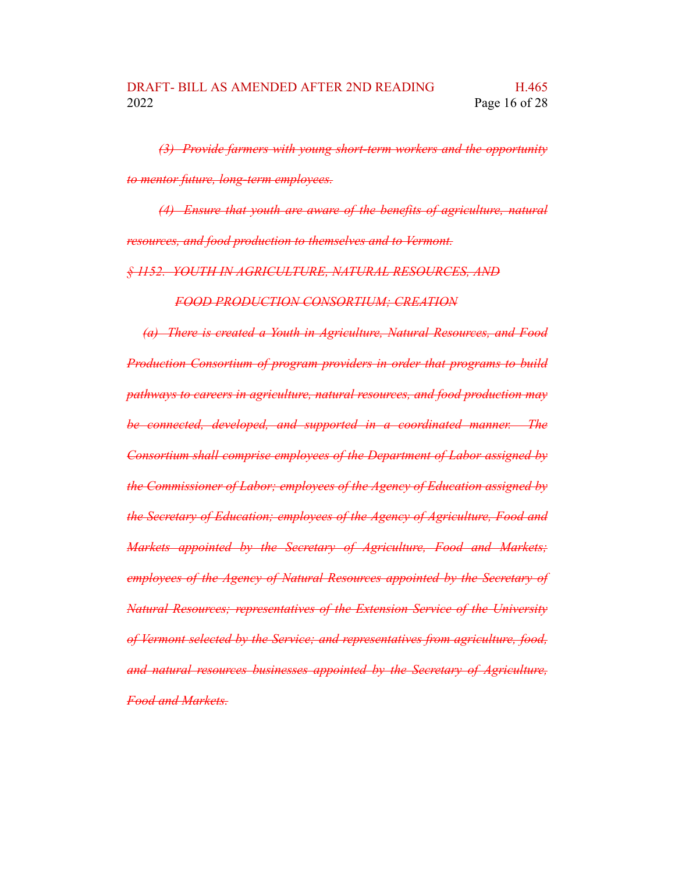*(3) Provide farmers with young short-term workers and the opportunity to mentor future, long-term employees.*

*(4) Ensure that youth are aware of the benefits of agriculture, natural resources, and food production to themselves and to Vermont.*

*§ 1152. YOUTH IN AGRICULTURE, NATURAL RESOURCES, AND*

*FOOD PRODUCTION CONSORTIUM; CREATION*

*(a) There is created a Youth in Agriculture, Natural Resources, and Food Production Consortium of program providers in order that programs to build pathways to careers in agriculture, natural resources, and food production may be connected, developed, and supported in a coordinated manner. The Consortium shall comprise employees of the Department of Labor assigned by the Commissioner of Labor; employees of the Agency of Education assigned by the Secretary of Education; employees of the Agency of Agriculture, Food and Markets appointed by the Secretary of Agriculture, Food and Markets; employees of the Agency of Natural Resources appointed by the Secretary of Natural Resources; representatives of the Extension Service of the University of Vermont selected by the Service; and representatives from agriculture, food, and natural resources businesses appointed by the Secretary of Agriculture, Food and Markets.*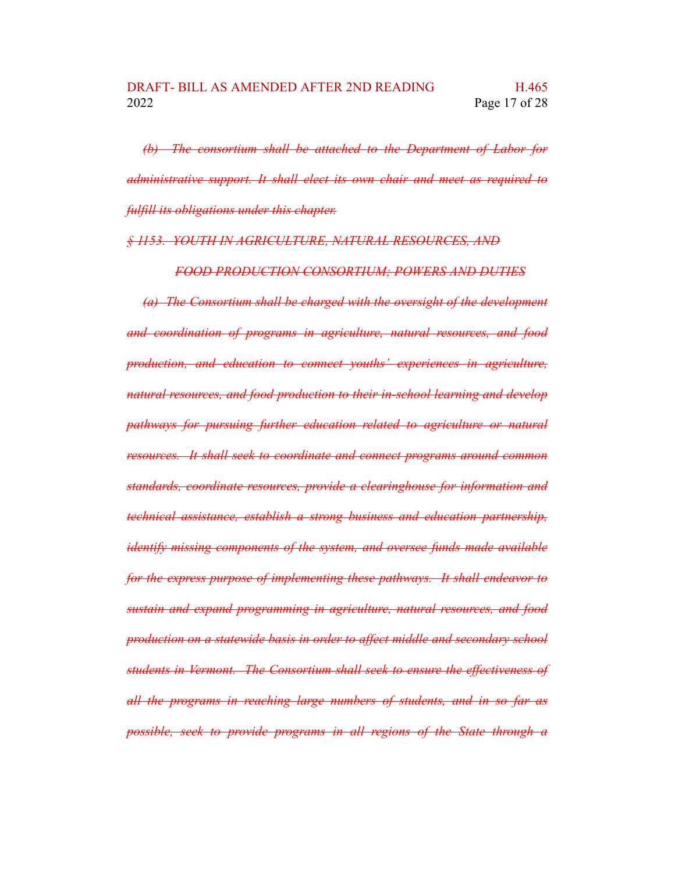*(b) The consortium shall be attached to the Department of Labor for administrative support. It shall elect its own chair and meet as required to fulfill its obligations under this chapter.*

*§ 1153. YOUTH IN AGRICULTURE, NATURAL RESOURCES, AND*

*FOOD PRODUCTION CONSORTIUM; POWERS AND DUTIES*

*(a) The Consortium shall be charged with the oversight of the development and coordination of programs in agriculture, natural resources, and food production, and education to connect youths' experiences in agriculture, natural resources, and food production to their in-school learning and develop pathways for pursuing further education related to agriculture or natural resources. It shall seek to coordinate and connect programs around common standards, coordinate resources, provide a clearinghouse for information and technical assistance, establish a strong business and education partnership, identify missing components of the system, and oversee funds made available for the express purpose of implementing these pathways. It shall endeavor to sustain and expand programming in agriculture, natural resources, and food production on a statewide basis in order to affect middle and secondary school students in Vermont. The Consortium shall seek to ensure the effectiveness of all the programs in reaching large numbers of students, and in so far as possible, seek to provide programs in all regions of the State through a*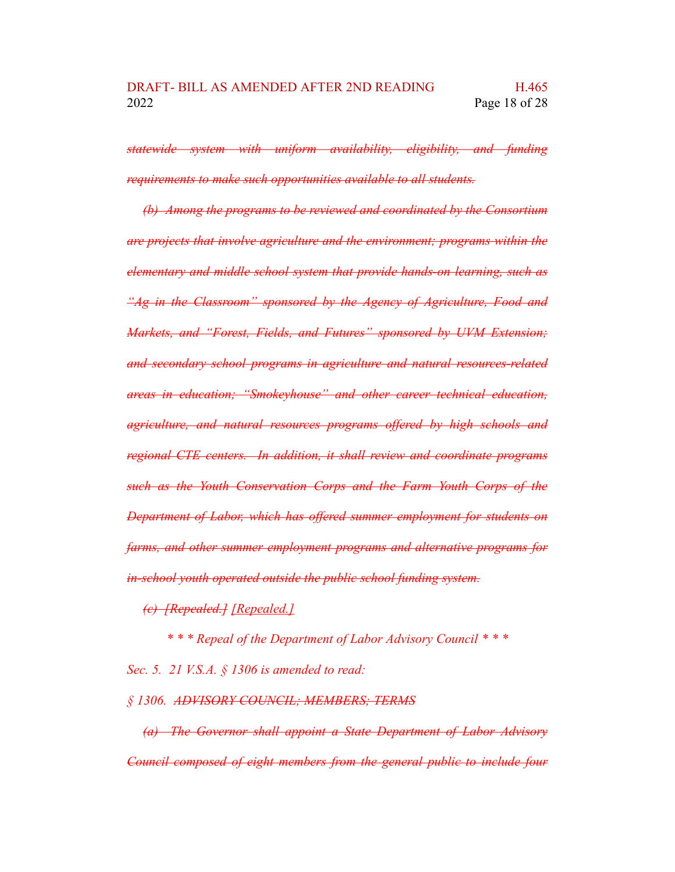*statewide system with uniform availability, eligibility, and funding requirements to make such opportunities available to all students.*

*(b) Among the programs to be reviewed and coordinated by the Consortium are projects that involve agriculture and the environment; programs within the elementary and middle school system that provide hands-on learning, such as "Ag in the Classroom" sponsored by the Agency of Agriculture, Food and Markets, and "Forest, Fields, and Futures" sponsored by UVM Extension; and secondary school programs in agriculture and natural resources-related areas in education; "Smokeyhouse" and other career technical education, agriculture, and natural resources programs offered by high schools and regional CTE centers. In addition, it shall review and coordinate programs such as the Youth Conservation Corps and the Farm Youth Corps of the Department of Labor, which has offered summer employment for students on farms, and other summer employment programs and alternative programs for in-school youth operated outside the public school funding system.*

*(c) [Repealed.] [Repealed.]*

*\* \* \* Repeal of the Department of Labor Advisory Council \* \* \**

*Sec. 5. 21 V.S.A. § 1306 is amended to read:*

*§ 1306. ADVISORY COUNCIL; MEMBERS; TERMS*

*(a) The Governor shall appoint a State Department of Labor Advisory Council composed of eight members from the general public to include four*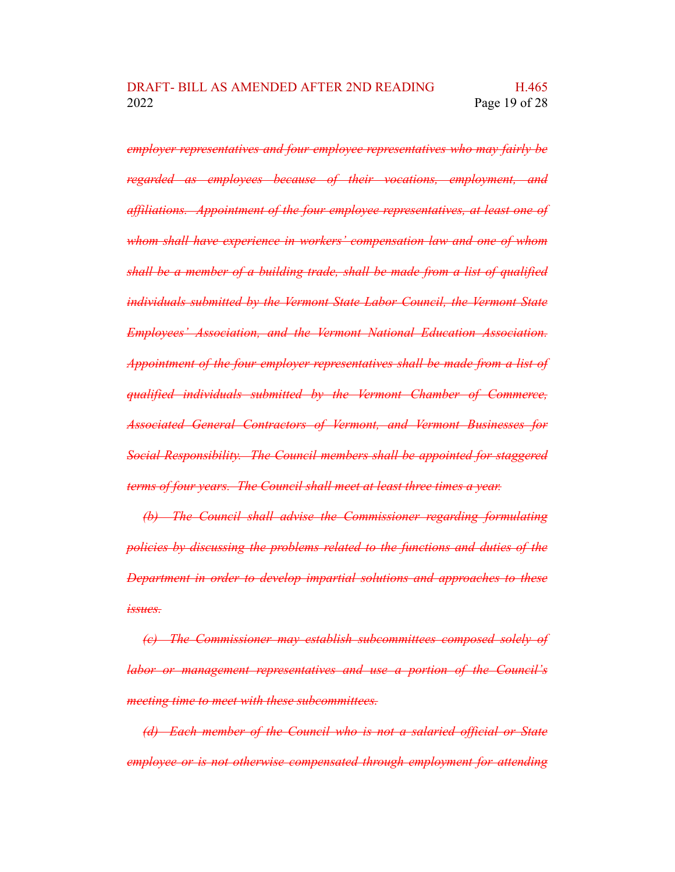*employer representatives and four employee representatives who may fairly be regarded as employees because of their vocations, employment, and affiliations. Appointment of the four employee representatives, at least one of whom shall have experience in workers' compensation law and one of whom shall be a member of a building trade, shall be made from a list of qualified individuals submitted by the Vermont State Labor Council, the Vermont State Employees' Association, and the Vermont National Education Association. Appointment of the four employer representatives shall be made from a list of qualified individuals submitted by the Vermont Chamber of Commerce, Associated General Contractors of Vermont, and Vermont Businesses for Social Responsibility. The Council members shall be appointed for staggered terms of four years. The Council shall meet at least three times a year.*

*(b) The Council shall advise the Commissioner regarding formulating policies by discussing the problems related to the functions and duties of the Department in order to develop impartial solutions and approaches to these issues.*

*(c) The Commissioner may establish subcommittees composed solely of labor or management representatives and use a portion of the Council's meeting time to meet with these subcommittees.*

*(d) Each member of the Council who is not a salaried official or State employee or is not otherwise compensated through employment for attending*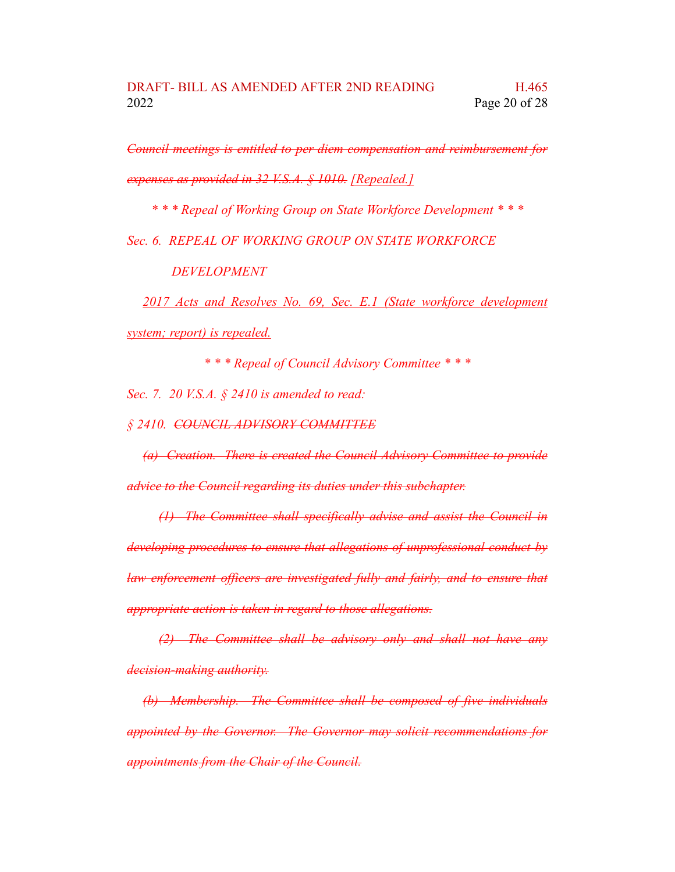*Council meetings is entitled to per diem compensation and reimbursement for expenses as provided in 32 V.S.A. § 1010. [Repealed.]*

*\* \* \* Repeal of Working Group on State Workforce Development \* \* \**

*Sec. 6. REPEAL OF WORKING GROUP ON STATE WORKFORCE*

*DEVELOPMENT*

*2017 Acts and Resolves No. 69, Sec. E.1 (State workforce development system; report) is repealed.*

*\* \* \* Repeal of Council Advisory Committee \* \* \**

*Sec. 7. 20 V.S.A. § 2410 is amended to read:*

*§ 2410. COUNCIL ADVISORY COMMITTEE*

*(a) Creation. There is created the Council Advisory Committee to provide advice to the Council regarding its duties under this subchapter.*

*(1) The Committee shall specifically advise and assist the Council in developing procedures to ensure that allegations of unprofessional conduct by law enforcement officers are investigated fully and fairly, and to ensure that appropriate action is taken in regard to those allegations.*

*(2) The Committee shall be advisory only and shall not have any decision-making authority.*

*(b) Membership. The Committee shall be composed of five individuals appointed by the Governor. The Governor may solicit recommendations for appointments from the Chair of the Council.*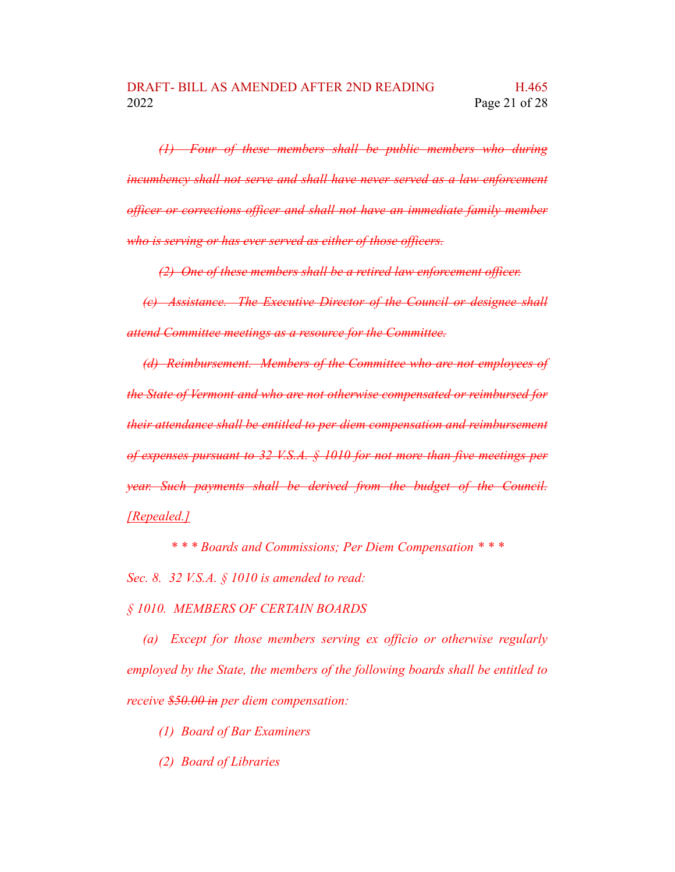*(1) Four of these members shall be public members who during incumbency shall not serve and shall have never served as a law enforcement officer or corrections officer and shall not have an immediate family member who is serving or has ever served as either of those officers.*

*(2) One of these members shall be a retired law enforcement officer.*

*(c) Assistance. The Executive Director of the Council or designee shall attend Committee meetings as a resource for the Committee.*

*(d) Reimbursement. Members of the Committee who are not employees of the State of Vermont and who are not otherwise compensated or reimbursed for their attendance shall be entitled to per diem compensation and reimbursement of expenses pursuant to 32 V.S.A. § 1010 for not more than five meetings per year. Such payments shall be derived from the budget of the Council. [Repealed.]*

*\* \* \* Boards and Commissions; Per Diem Compensation \* \* \**

*Sec. 8. 32 V.S.A. § 1010 is amended to read:*

*§ 1010. MEMBERS OF CERTAIN BOARDS*

*(a) Except for those members serving ex officio or otherwise regularly employed by the State, the members of the following boards shall be entitled to receive \$50.00 in per diem compensation:*

*(1) Board of Bar Examiners*

*(2) Board of Libraries*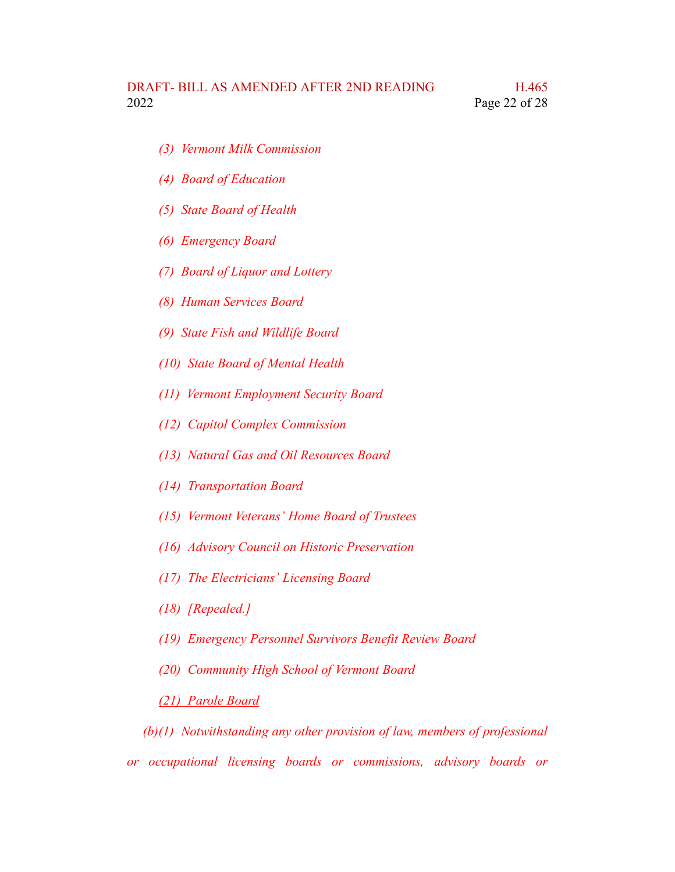- *(3) Vermont Milk Commission*
- *(4) Board of Education*
- *(5) State Board of Health*
- *(6) Emergency Board*
- *(7) Board of Liquor and Lottery*
- *(8) Human Services Board*
- *(9) State Fish and Wildlife Board*
- *(10) State Board of Mental Health*
- *(11) Vermont Employment Security Board*
- *(12) Capitol Complex Commission*
- *(13) Natural Gas and Oil Resources Board*
- *(14) Transportation Board*
- *(15) Vermont Veterans' Home Board of Trustees*
- *(16) Advisory Council on Historic Preservation*
- *(17) The Electricians' Licensing Board*
- *(18) [Repealed.]*
- *(19) Emergency Personnel Survivors Benefit Review Board*
- *(20) Community High School of Vermont Board*

## *(21) Parole Board*

*(b)(1) Notwithstanding any other provision of law, members of professional or occupational licensing boards or commissions, advisory boards or*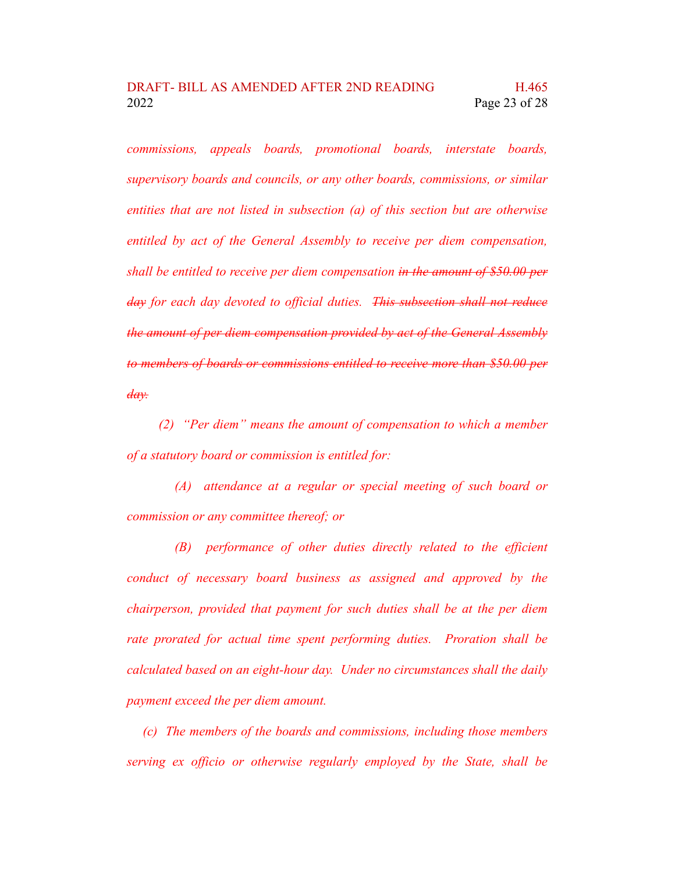*commissions, appeals boards, promotional boards, interstate boards, supervisory boards and councils, or any other boards, commissions, or similar entities that are not listed in subsection (a) of this section but are otherwise entitled by act of the General Assembly to receive per diem compensation, shall be entitled to receive per diem compensation in the amount of \$50.00 per day for each day devoted to official duties. This subsection shall not reduce the amount of per diem compensation provided by act of the General Assembly to members of boards or commissions entitled to receive more than \$50.00 per day.*

*(2) "Per diem" means the amount of compensation to which a member of a statutory board or commission is entitled for:*

*(A) attendance at a regular or special meeting of such board or commission or any committee thereof; or*

*(B) performance of other duties directly related to the efficient conduct of necessary board business as assigned and approved by the chairperson, provided that payment for such duties shall be at the per diem rate prorated for actual time spent performing duties. Proration shall be calculated based on an eight-hour day. Under no circumstances shall the daily payment exceed the per diem amount.*

*(c) The members of the boards and commissions, including those members serving ex officio or otherwise regularly employed by the State, shall be*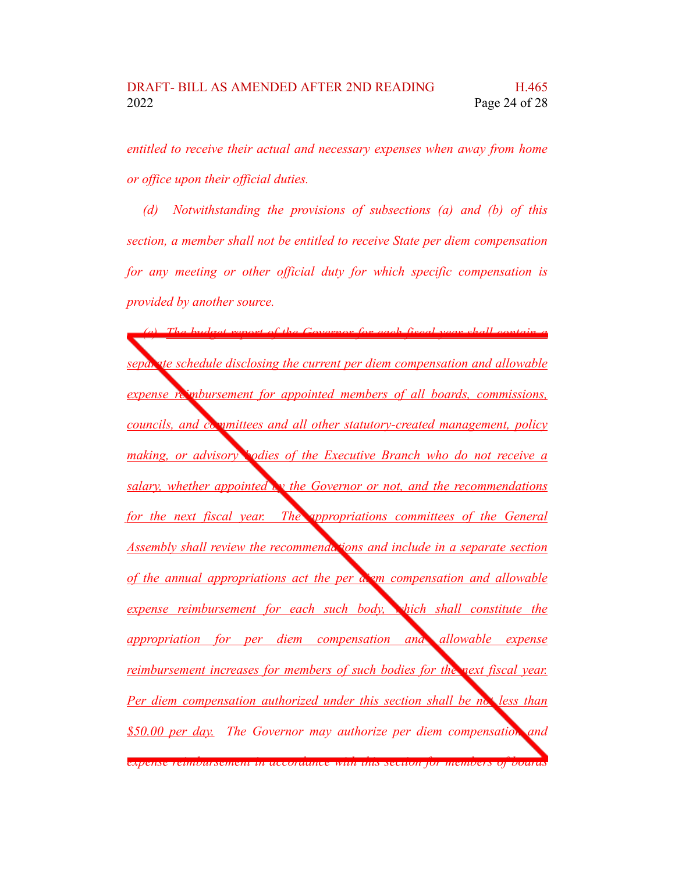*entitled to receive their actual and necessary expenses when away from home or office upon their official duties.*

*(d) Notwithstanding the provisions of subsections (a) and (b) of this section, a member shall not be entitled to receive State per diem compensation for any meeting or other official duty for which specific compensation is provided by another source.*

*(e) The budget report of the Governor for each fiscal year shall contain a separate schedule disclosing the current per diem compensation and allowable expense reimbursement for appointed members of all boards, commissions, councils, and committees and all other statutory-created management, policy making, or advisory bodies of the Executive Branch who do not receive a salary, whether appointed by the Governor or not, and the recommendations for the next fiscal year. The appropriations committees of the General Assembly shall review the recommendations and include in a separate section of the annual appropriations act the per diem compensation and allowable expense reimbursement for each such body, which shall constitute the appropriation for per diem compensation and allowable expense reimbursement increases for members of such bodies for the next fiscal year. Per diem compensation authorized under this section shall be not less than \$50.00 per day. The Governor may authorize per diem compensation and expense reimbursement in accordance with this section for members of boards*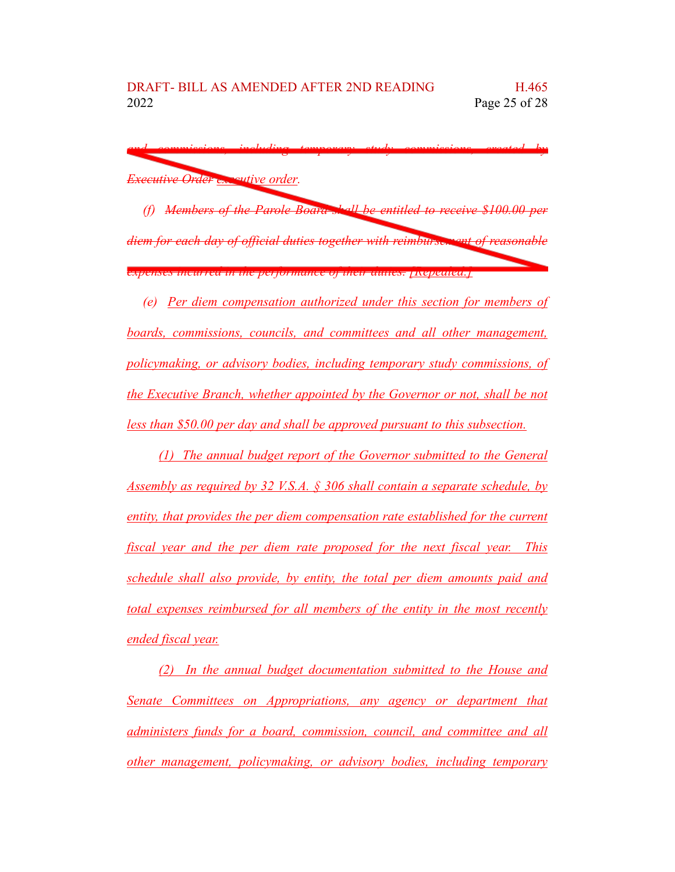*and commissions, including temporary study commissions, created by Executive Order executive order.*

*(f) Members of the Parole Board shall be entitled to receive \$100.00 per diem for each day of official duties together with reimbursement of reasonable expenses incurred in the performance of their duties. [Repealed.]*

*(e) Per diem compensation authorized under this section for members of boards, commissions, councils, and committees and all other management, policymaking, or advisory bodies, including temporary study commissions, of the Executive Branch, whether appointed by the Governor or not, shall be not less than \$50.00 per day and shall be approved pursuant to this subsection.*

*(1) The annual budget report of the Governor submitted to the General Assembly as required by 32 V.S.A. § 306 shall contain a separate schedule, by entity, that provides the per diem compensation rate established for the current fiscal year and the per diem rate proposed for the next fiscal year. This schedule shall also provide, by entity, the total per diem amounts paid and total expenses reimbursed for all members of the entity in the most recently ended fiscal year.*

*(2) In the annual budget documentation submitted to the House and Senate Committees on Appropriations, any agency or department that administers funds for a board, commission, council, and committee and all other management, policymaking, or advisory bodies, including temporary*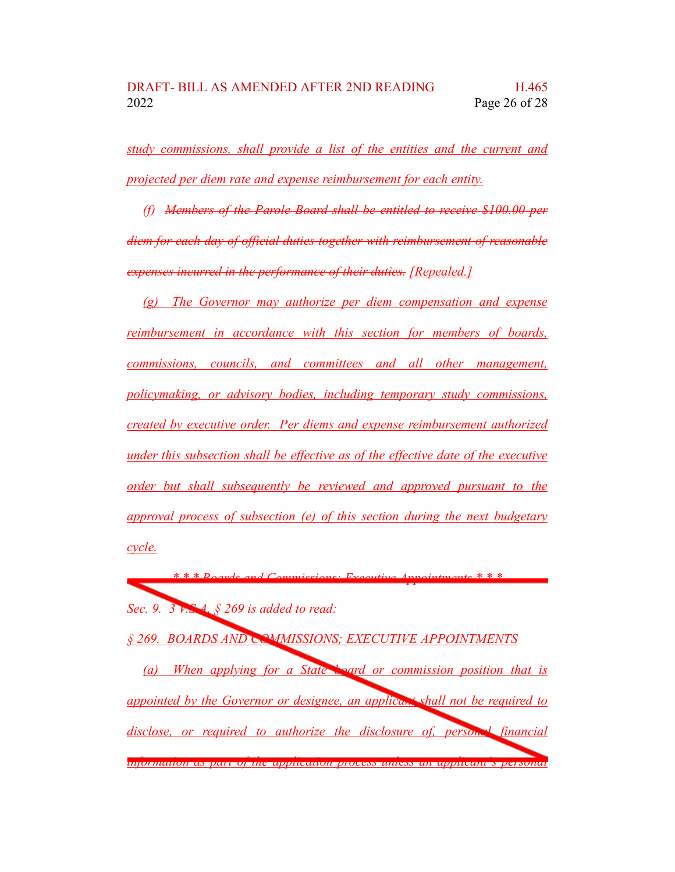*study commissions, shall provide a list of the entities and the current and projected per diem rate and expense reimbursement for each entity.*

*(f) Members of the Parole Board shall be entitled to receive \$100.00 per diem for each day of official duties together with reimbursement of reasonable expenses incurred in the performance of their duties. [Repealed.]*

*(g) The Governor may authorize per diem compensation and expense reimbursement in accordance with this section for members of boards, commissions, councils, and committees and all other management, policymaking, or advisory bodies, including temporary study commissions, created by executive order. Per diems and expense reimbursement authorized under this subsection shall be effective as of the effective date of the executive order but shall subsequently be reviewed and approved pursuant to the approval process of subsection (e) of this section during the next budgetary cycle.*

*\* \* \* Boards and Commissions; Executive Appointments \* \* \* Sec. 9. 3 V.S.A. § 269 is added to read:*

*§ 269. BOARDS AND COMMISSIONS; EXECUTIVE APPOINTMENTS*

*(a) When applying for a State board or commission position that is appointed by the Governor or designee, an applicant shall not be required to disclose, or required to authorize the disclosure of, personal financial information as part of the application process unless an applicant's personal*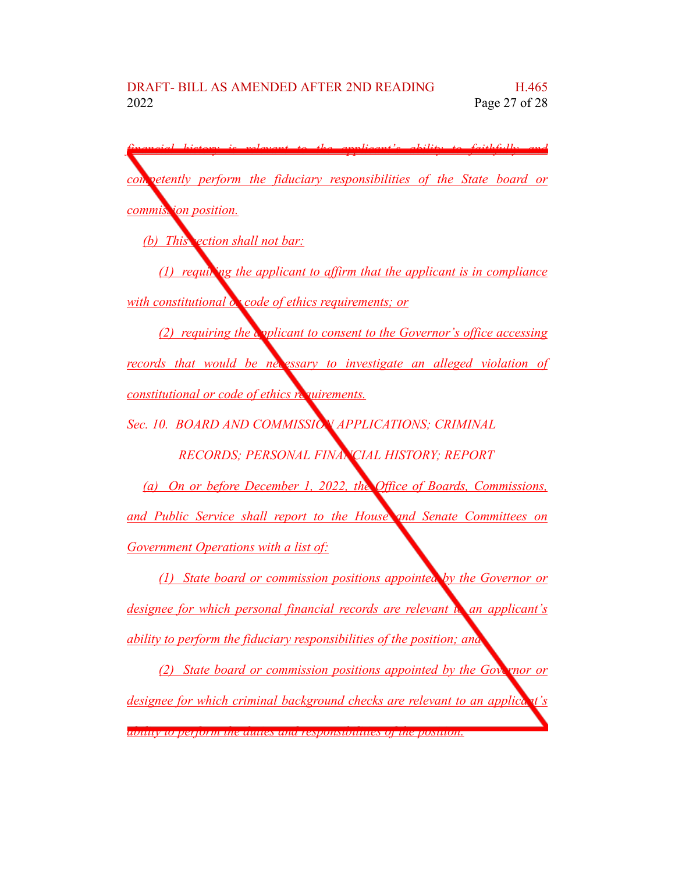*financial history is relevant to the applicant's ability to faithfully and competently perform the fiduciary responsibilities of the State board or commission position. (b) This section shall not bar: (1) requiring the applicant to affirm that the applicant is in compliance with constitutional*  $\alpha$  *code of ethics requirements; or (2) requiring the applicant to consent to the Governor's office accessing records that would be necessary to investigate an alleged violation of constitutional or code of ethics requirements. Sec. 10. BOARD AND COMMISSION APPLICATIONS; CRIMINAL RECORDS; PERSONAL FINANCIAL HISTORY; REPORT (a) On or before December 1, 2022, the Office of Boards, Commissions, and Public Service shall report to the House and Senate Committees on Government Operations with a list of: (1) State board or commission positions appointed by the Governor or designee for which personal financial records are relevant to an applicant's ability to perform the fiduciary responsibilities of the position; and (2) State board or commission positions appointed by the Governor or designee for which criminal background checks are relevant to an applicant's ability to perform the duties and responsibilities of the position.*